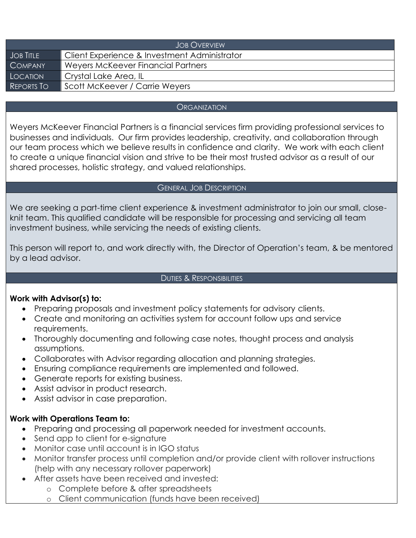| <b>JOB OVERVIEW</b> |                                              |  |
|---------------------|----------------------------------------------|--|
| <b>JOB TITLE</b>    | Client Experience & Investment Administrator |  |
| <b>COMPANY</b>      | Weyers McKeever Financial Partners           |  |
| LOCATION            | Crystal Lake Area, IL                        |  |
| REPORTS TO          | Scott McKeever / Carrie Weyers               |  |

## **ORGANIZATION**

Weyers McKeever Financial Partners is a financial services firm providing professional services to businesses and individuals. Our firm provides leadership, creativity, and collaboration through our team process which we believe results in confidence and clarity. We work with each client to create a unique financial vision and strive to be their most trusted advisor as a result of our shared processes, holistic strategy, and valued relationships.

## GENERAL JOB DESCRIPTION

We are seeking a part-time client experience & investment administrator to join our small, closeknit team. This qualified candidate will be responsible for processing and servicing all team investment business, while servicing the needs of existing clients.

This person will report to, and work directly with, the Director of Operation's team, & be mentored by a lead advisor.

## DUTIES & RESPONSIBILITIES

# **Work with Advisor(s) to:**

- Preparing proposals and investment policy statements for advisory clients.
- Create and monitoring an activities system for account follow ups and service requirements.
- Thoroughly documenting and following case notes, thought process and analysis assumptions.
- Collaborates with Advisor regarding allocation and planning strategies.
- Ensuring compliance requirements are implemented and followed.
- Generate reports for existing business.
- Assist advisor in product research.
- Assist advisor in case preparation.

# **Work with Operations Team to:**

- Preparing and processing all paperwork needed for investment accounts.
- Send app to client for e-signature
- Monitor case until account is in IGO status
- Monitor transfer process until completion and/or provide client with rollover instructions (help with any necessary rollover paperwork)
- After assets have been received and invested:
	- o Complete before & after spreadsheets
	- o Client communication (funds have been received)